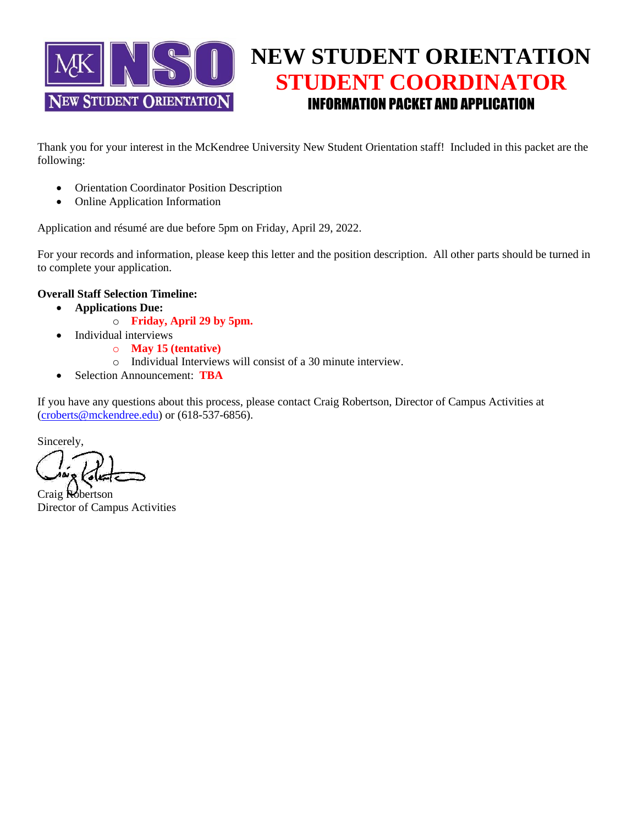

## **NEW STUDENT ORIENTATION STUDENT COORDINATOR** INFORMATION PACKET AND APPLICATION

Thank you for your interest in the McKendree University New Student Orientation staff! Included in this packet are the following:

- Orientation Coordinator Position Description
- Online Application Information

Application and résumé are due before 5pm on Friday, April 29, 2022.

For your records and information, please keep this letter and the position description. All other parts should be turned in to complete your application.

#### **Overall Staff Selection Timeline:**

- **Applications Due:** 
	- o **Friday, April 29 by 5pm.**
	- Individual interviews
		- o **May 15 (tentative)**
		- o Individual Interviews will consist of a 30 minute interview.
- Selection Announcement: **TBA**

If you have any questions about this process, please contact Craig Robertson, Director of Campus Activities at [\(croberts@mckendree.edu\)](mailto:croberts@mckendree.edu) or (618-537-6856).

Sincerely,

Craig Robertson Director of Campus Activities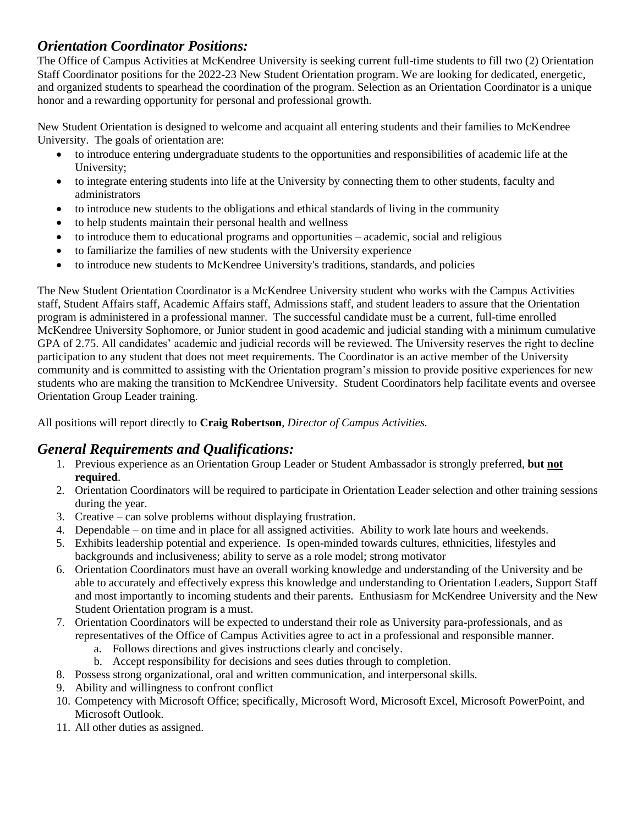## *Orientation Coordinator Positions:*

The Office of Campus Activities at McKendree University is seeking current full-time students to fill two (2) Orientation Staff Coordinator positions for the 2022-23 New Student Orientation program. We are looking for dedicated, energetic, and organized students to spearhead the coordination of the program. Selection as an Orientation Coordinator is a unique honor and a rewarding opportunity for personal and professional growth.

New Student Orientation is designed to welcome and acquaint all entering students and their families to McKendree University. The goals of orientation are:

- to introduce entering undergraduate students to the opportunities and responsibilities of academic life at the University;
- to integrate entering students into life at the University by connecting them to other students, faculty and administrators
- to introduce new students to the obligations and ethical standards of living in the community
- to help students maintain their personal health and wellness
- to introduce them to educational programs and opportunities academic, social and religious
- to familiarize the families of new students with the University experience
- to introduce new students to McKendree University's traditions, standards, and policies

The New Student Orientation Coordinator is a McKendree University student who works with the Campus Activities staff, Student Affairs staff, Academic Affairs staff, Admissions staff, and student leaders to assure that the Orientation program is administered in a professional manner. The successful candidate must be a current, full-time enrolled McKendree University Sophomore, or Junior student in good academic and judicial standing with a minimum cumulative GPA of 2.75. All candidates' academic and judicial records will be reviewed. The University reserves the right to decline participation to any student that does not meet requirements. The Coordinator is an active member of the University community and is committed to assisting with the Orientation program's mission to provide positive experiences for new students who are making the transition to McKendree University. Student Coordinators help facilitate events and oversee Orientation Group Leader training.

All positions will report directly to **Craig Robertson**, *Director of Campus Activities.* 

## *General Requirements and Qualifications:*

- 1. Previous experience as an Orientation Group Leader or Student Ambassador is strongly preferred, **but not required**.
- 2. Orientation Coordinators will be required to participate in Orientation Leader selection and other training sessions during the year.
- 3. Creative can solve problems without displaying frustration.
- 4. Dependable on time and in place for all assigned activities. Ability to work late hours and weekends.
- 5. Exhibits leadership potential and experience. Is open-minded towards cultures, ethnicities, lifestyles and backgrounds and inclusiveness; ability to serve as a role model; strong motivator
- 6. Orientation Coordinators must have an overall working knowledge and understanding of the University and be able to accurately and effectively express this knowledge and understanding to Orientation Leaders, Support Staff and most importantly to incoming students and their parents. Enthusiasm for McKendree University and the New Student Orientation program is a must.
- 7. Orientation Coordinators will be expected to understand their role as University para-professionals, and as representatives of the Office of Campus Activities agree to act in a professional and responsible manner.
	- a. Follows directions and gives instructions clearly and concisely.
	- b. Accept responsibility for decisions and sees duties through to completion.
- 8. Possess strong organizational, oral and written communication, and interpersonal skills.
- 9. Ability and willingness to confront conflict
- 10. Competency with Microsoft Office; specifically, Microsoft Word, Microsoft Excel, Microsoft PowerPoint, and Microsoft Outlook.
- 11. All other duties as assigned.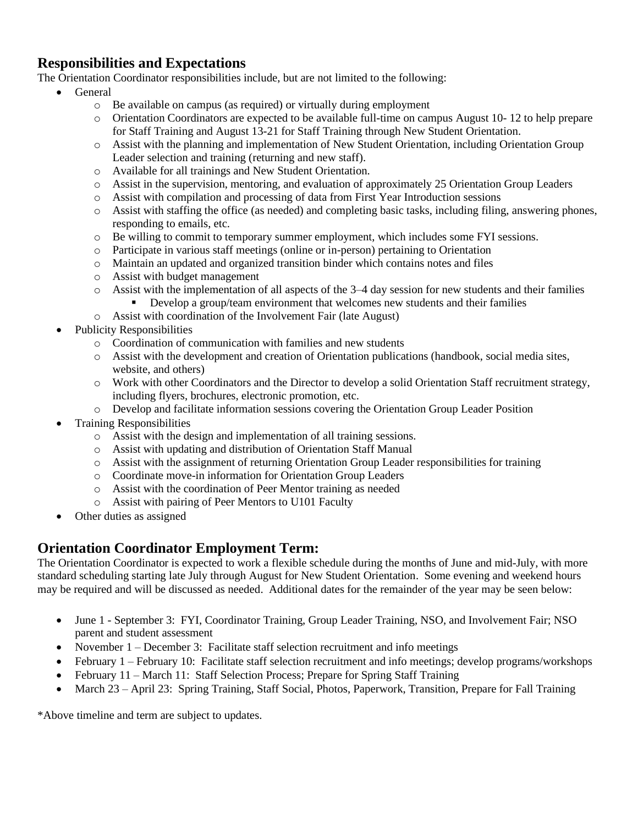## **Responsibilities and Expectations**

The Orientation Coordinator responsibilities include, but are not limited to the following:

- General
	- o Be available on campus (as required) or virtually during employment
	- o Orientation Coordinators are expected to be available full-time on campus August 10- 12 to help prepare for Staff Training and August 13-21 for Staff Training through New Student Orientation.
	- o Assist with the planning and implementation of New Student Orientation, including Orientation Group Leader selection and training (returning and new staff).
	- o Available for all trainings and New Student Orientation.
	- o Assist in the supervision, mentoring, and evaluation of approximately 25 Orientation Group Leaders
	- o Assist with compilation and processing of data from First Year Introduction sessions
	- o Assist with staffing the office (as needed) and completing basic tasks, including filing, answering phones, responding to emails, etc.
	- o Be willing to commit to temporary summer employment, which includes some FYI sessions.
	- o Participate in various staff meetings (online or in-person) pertaining to Orientation
	- o Maintain an updated and organized transition binder which contains notes and files
	- o Assist with budget management
	- $\circ$  Assist with the implementation of all aspects of the 3–4 day session for new students and their families
		- Develop a group/team environment that welcomes new students and their families
	- o Assist with coordination of the Involvement Fair (late August)
- Publicity Responsibilities
	- o Coordination of communication with families and new students
	- o Assist with the development and creation of Orientation publications (handbook, social media sites, website, and others)
	- o Work with other Coordinators and the Director to develop a solid Orientation Staff recruitment strategy, including flyers, brochures, electronic promotion, etc.
	- o Develop and facilitate information sessions covering the Orientation Group Leader Position
- Training Responsibilities
	- o Assist with the design and implementation of all training sessions.
	- o Assist with updating and distribution of Orientation Staff Manual
	- o Assist with the assignment of returning Orientation Group Leader responsibilities for training
	- o Coordinate move-in information for Orientation Group Leaders
	- o Assist with the coordination of Peer Mentor training as needed
	- o Assist with pairing of Peer Mentors to U101 Faculty
- Other duties as assigned

## **Orientation Coordinator Employment Term:**

The Orientation Coordinator is expected to work a flexible schedule during the months of June and mid-July, with more standard scheduling starting late July through August for New Student Orientation. Some evening and weekend hours may be required and will be discussed as needed. Additional dates for the remainder of the year may be seen below:

- June 1 September 3: FYI, Coordinator Training, Group Leader Training, NSO, and Involvement Fair; NSO parent and student assessment
- November 1 December 3: Facilitate staff selection recruitment and info meetings
- February 1 February 10: Facilitate staff selection recruitment and info meetings; develop programs/workshops
- February 11 March 11: Staff Selection Process; Prepare for Spring Staff Training
- March 23 April 23: Spring Training, Staff Social, Photos, Paperwork, Transition, Prepare for Fall Training

\*Above timeline and term are subject to updates.